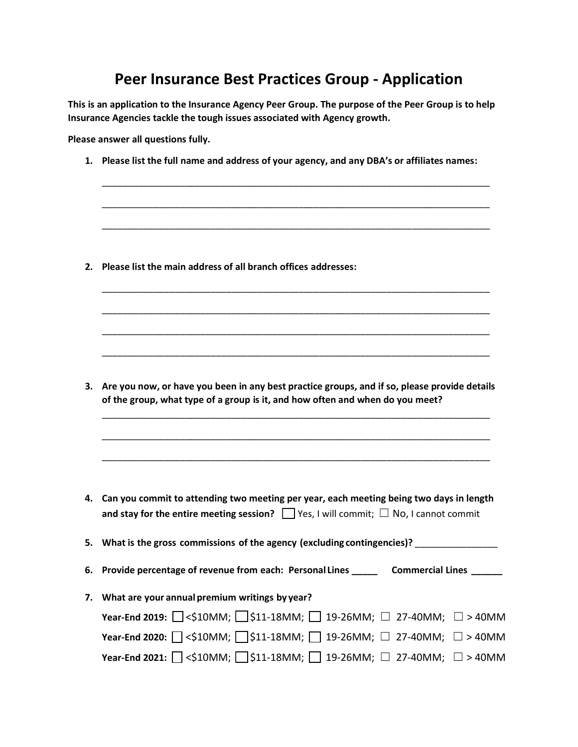## **Peer Insurance Best Practices Group - Application**

**This is an application to the Insurance Agency Peer Group. The purpose of the Peer Group is to help Insurance Agencies tackle the tough issues associated with Agency growth.** 

**Please answer all questions fully.** 

**1. Please list the full name and address of your agency, and any DBA's or affiliates names:**

\_\_\_\_\_\_\_\_\_\_\_\_\_\_\_\_\_\_\_\_\_\_\_\_\_\_\_\_\_\_\_\_\_\_\_\_\_\_\_\_\_\_\_\_\_\_\_\_\_\_\_\_\_\_\_\_\_\_\_\_\_\_\_\_\_\_\_\_\_\_\_\_\_\_\_

\_\_\_\_\_\_\_\_\_\_\_\_\_\_\_\_\_\_\_\_\_\_\_\_\_\_\_\_\_\_\_\_\_\_\_\_\_\_\_\_\_\_\_\_\_\_\_\_\_\_\_\_\_\_\_\_\_\_\_\_\_\_\_\_\_\_\_\_\_\_\_\_\_\_\_

\_\_\_\_\_\_\_\_\_\_\_\_\_\_\_\_\_\_\_\_\_\_\_\_\_\_\_\_\_\_\_\_\_\_\_\_\_\_\_\_\_\_\_\_\_\_\_\_\_\_\_\_\_\_\_\_\_\_\_\_\_\_\_\_\_\_\_\_\_\_\_\_\_\_\_

\_\_\_\_\_\_\_\_\_\_\_\_\_\_\_\_\_\_\_\_\_\_\_\_\_\_\_\_\_\_\_\_\_\_\_\_\_\_\_\_\_\_\_\_\_\_\_\_\_\_\_\_\_\_\_\_\_\_\_\_\_\_\_\_\_\_\_\_\_\_\_\_\_\_\_

\_\_\_\_\_\_\_\_\_\_\_\_\_\_\_\_\_\_\_\_\_\_\_\_\_\_\_\_\_\_\_\_\_\_\_\_\_\_\_\_\_\_\_\_\_\_\_\_\_\_\_\_\_\_\_\_\_\_\_\_\_\_\_\_\_\_\_\_\_\_\_\_\_\_\_

\_\_\_\_\_\_\_\_\_\_\_\_\_\_\_\_\_\_\_\_\_\_\_\_\_\_\_\_\_\_\_\_\_\_\_\_\_\_\_\_\_\_\_\_\_\_\_\_\_\_\_\_\_\_\_\_\_\_\_\_\_\_\_\_\_\_\_\_\_\_\_\_\_\_\_

\_\_\_\_\_\_\_\_\_\_\_\_\_\_\_\_\_\_\_\_\_\_\_\_\_\_\_\_\_\_\_\_\_\_\_\_\_\_\_\_\_\_\_\_\_\_\_\_\_\_\_\_\_\_\_\_\_\_\_\_\_\_\_\_\_\_\_\_\_\_\_\_\_\_\_

**2. Please list the main address of all branch offices addresses:**

**3. Are you now, or have you been in any best practice groups, and if so, please provide details of the group, what type of a group is it, and how often and when do you meet?**

\_\_\_\_\_\_\_\_\_\_\_\_\_\_\_\_\_\_\_\_\_\_\_\_\_\_\_\_\_\_\_\_\_\_\_\_\_\_\_\_\_\_\_\_\_\_\_\_\_\_\_\_\_\_\_\_\_\_\_\_\_\_\_\_\_\_\_\_\_\_\_\_\_\_\_

\_\_\_\_\_\_\_\_\_\_\_\_\_\_\_\_\_\_\_\_\_\_\_\_\_\_\_\_\_\_\_\_\_\_\_\_\_\_\_\_\_\_\_\_\_\_\_\_\_\_\_\_\_\_\_\_\_\_\_\_\_\_\_\_\_\_\_\_\_\_\_\_\_\_\_

\_\_\_\_\_\_\_\_\_\_\_\_\_\_\_\_\_\_\_\_\_\_\_\_\_\_\_\_\_\_\_\_\_\_\_\_\_\_\_\_\_\_\_\_\_\_\_\_\_\_\_\_\_\_\_\_\_\_\_\_\_\_\_\_\_\_\_\_\_\_\_\_\_\_\_

**4. Can you commit to attending two meeting per year, each meeting being two days in length and stay for the entire meeting session?** ☐ Yes, I will commit; ☐ No, I cannot commit

**5. What is the gross commissions of the agency (excluding contingencies)?** \_\_\_\_\_\_\_\_\_\_\_\_\_\_\_\_

**6. Provide percentage of revenue from each: Personal Lines \_\_\_\_\_ Commercial Lines \_\_\_\_\_\_**

| 7. What are your annual premium writings by year?                                              |  |
|------------------------------------------------------------------------------------------------|--|
| Year-End 2019: $\Box$ <\$10MM; $\Box$ \$11-18MM; $\Box$ 19-26MM; $\Box$ 27-40MM; $\Box$ > 40MM |  |
| Year-End 2020: $\Box$ <\$10MM; $\Box$ \$11-18MM; $\Box$ 19-26MM; $\Box$ 27-40MM; $\Box$ > 40MM |  |
| Year-End 2021: $\Box$ <\$10MM; $\Box$ \$11-18MM; $\Box$ 19-26MM; $\Box$ 27-40MM; $\Box$ > 40MM |  |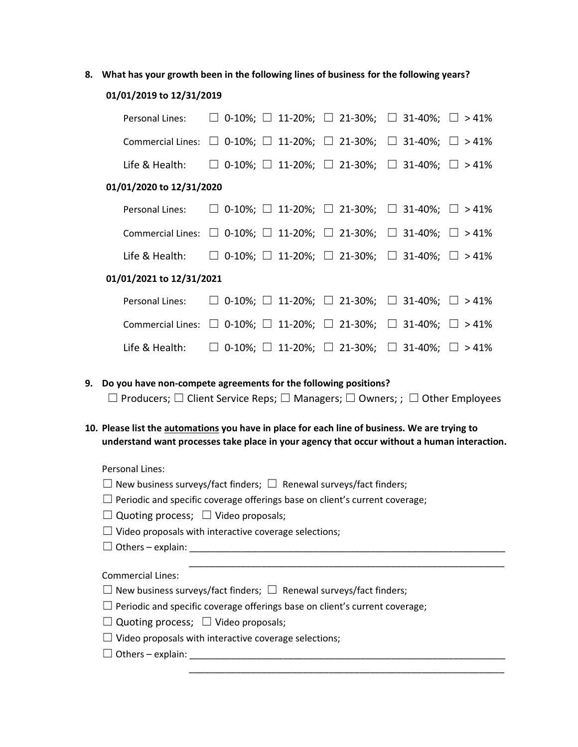**8. What has your growth been in the following lines of business for the following years?**

## **01/01/2019 to 12/31/2019**

| Personal Lines:          | $\Box$ 0-10%; $\Box$ 11-20%; $\Box$ 21-30%; $\Box$ 31-40%; $\Box$ > 41%                   |  |
|--------------------------|-------------------------------------------------------------------------------------------|--|
|                          | Commercial Lines: $\Box$ 0-10%; $\Box$ 11-20%; $\Box$ 21-30%; $\Box$ 31-40%; $\Box$ > 41% |  |
|                          | Life & Health: $\Box$ 0-10%; $\Box$ 11-20%; $\Box$ 21-30%; $\Box$ 31-40%; $\Box$ >41%     |  |
| 01/01/2020 to 12/31/2020 |                                                                                           |  |
| Personal Lines:          | $\Box$ 0-10%; $\Box$ 11-20%; $\Box$ 21-30%; $\Box$ 31-40%; $\Box$ > 41%                   |  |
|                          | Commercial Lines: $\Box$ 0-10%; $\Box$ 11-20%; $\Box$ 21-30%; $\Box$ 31-40%; $\Box$ > 41% |  |
|                          | Life & Health: $\Box$ 0-10%; $\Box$ 11-20%; $\Box$ 21-30%; $\Box$ 31-40%; $\Box$ >41%     |  |
| 01/01/2021 to 12/31/2021 |                                                                                           |  |
| Personal Lines:          | $\Box$ 0-10%; $\Box$ 11-20%; $\Box$ 21-30%; $\Box$ 31-40%; $\Box$ > 41%                   |  |
|                          | Commercial Lines: $\Box$ 0-10%; $\Box$ 11-20%; $\Box$ 21-30%; $\Box$ 31-40%; $\Box$ > 41% |  |
| Life & Health:           | $\Box$ 0-10%; $\Box$ 11-20%; $\Box$ 21-30%; $\Box$ 31-40%; $\Box$ > 41%                   |  |
|                          |                                                                                           |  |

- **9. Do you have non-compete agreements for the following positions?** ☐ Producers; ☐ Client Service Reps; ☐ Managers; ☐ Owners; ; ☐ Other Employees
- **10. Please list the automations you have in place for each line of business. We are trying to understand want processes take place in your agency that occur without a human interaction.**

\_\_\_\_\_\_\_\_\_\_\_\_\_\_\_\_\_\_\_\_\_\_\_\_\_\_\_\_\_\_\_\_\_\_\_\_\_\_\_\_\_\_\_\_\_\_\_\_\_\_\_\_\_\_\_\_\_\_\_\_\_

\_\_\_\_\_\_\_\_\_\_\_\_\_\_\_\_\_\_\_\_\_\_\_\_\_\_\_\_\_\_\_\_\_\_\_\_\_\_\_\_\_\_\_\_\_\_\_\_\_\_\_\_\_\_\_\_\_\_\_\_\_

Personal Lines:

| $\Box$ New business surveys/fact finders; $\Box$ Renewal surveys/fact finders;     |
|------------------------------------------------------------------------------------|
| $\Box$ Periodic and specific coverage offerings base on client's current coverage; |
| $\Box$ . $\Box$ . $\Box$                                                           |

- $\Box$  Quoting process;  $\Box$  Video proposals;
- $\Box$  Video proposals with interactive coverage selections;
- ☐ Others explain: \_\_\_\_\_\_\_\_\_\_\_\_\_\_\_\_\_\_\_\_\_\_\_\_\_\_\_\_\_\_\_\_\_\_\_\_\_\_\_\_\_\_\_\_\_\_\_\_\_\_\_\_\_\_\_\_\_\_\_\_\_

Commercial Lines:

- $\Box$  New business surveys/fact finders;  $\Box$  Renewal surveys/fact finders;
- $\Box$  Periodic and specific coverage offerings base on client's current coverage;
- $\Box$  Quoting process;  $\Box$  Video proposals;
- $\Box$  Video proposals with interactive coverage selections;
- $\Box$  Others explain: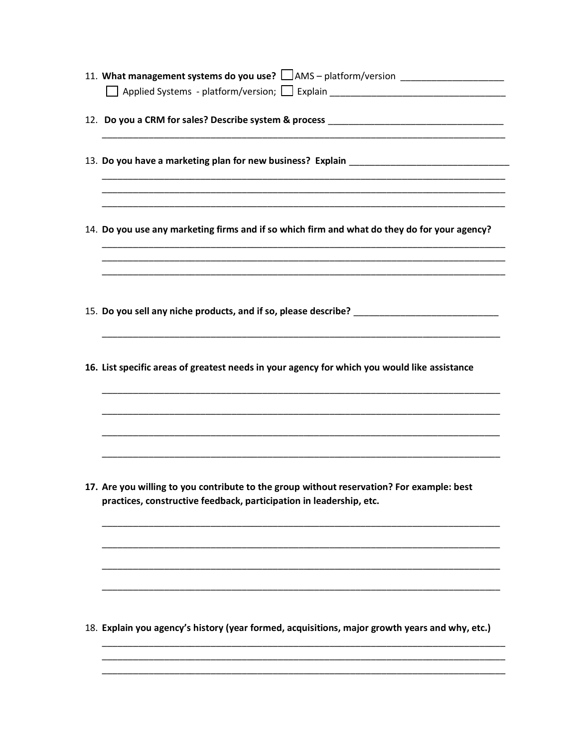| 11. What management systems do you use? LAMS - platform/version ________________                                      |
|-----------------------------------------------------------------------------------------------------------------------|
|                                                                                                                       |
|                                                                                                                       |
|                                                                                                                       |
|                                                                                                                       |
|                                                                                                                       |
|                                                                                                                       |
|                                                                                                                       |
| <u> 1989 - Johann Harry Harry Harry Harry Harry Harry Harry Harry Harry Harry Harry Harry Harry Harry Harry Harry</u> |
|                                                                                                                       |
| 14. Do you use any marketing firms and if so which firm and what do they do for your agency?                          |
|                                                                                                                       |
|                                                                                                                       |
|                                                                                                                       |
|                                                                                                                       |
|                                                                                                                       |
|                                                                                                                       |
|                                                                                                                       |
|                                                                                                                       |
| 16. List specific areas of greatest needs in your agency for which you would like assistance                          |
|                                                                                                                       |
|                                                                                                                       |
|                                                                                                                       |
|                                                                                                                       |
|                                                                                                                       |
|                                                                                                                       |
|                                                                                                                       |
| 17. Are you willing to you contribute to the group without reservation? For example: best                             |
| practices, constructive feedback, participation in leadership, etc.                                                   |
|                                                                                                                       |
|                                                                                                                       |
|                                                                                                                       |
|                                                                                                                       |
|                                                                                                                       |
|                                                                                                                       |
|                                                                                                                       |
|                                                                                                                       |
| 18. Explain you agency's history (year formed, acquisitions, major growth years and why, etc.)                        |
|                                                                                                                       |